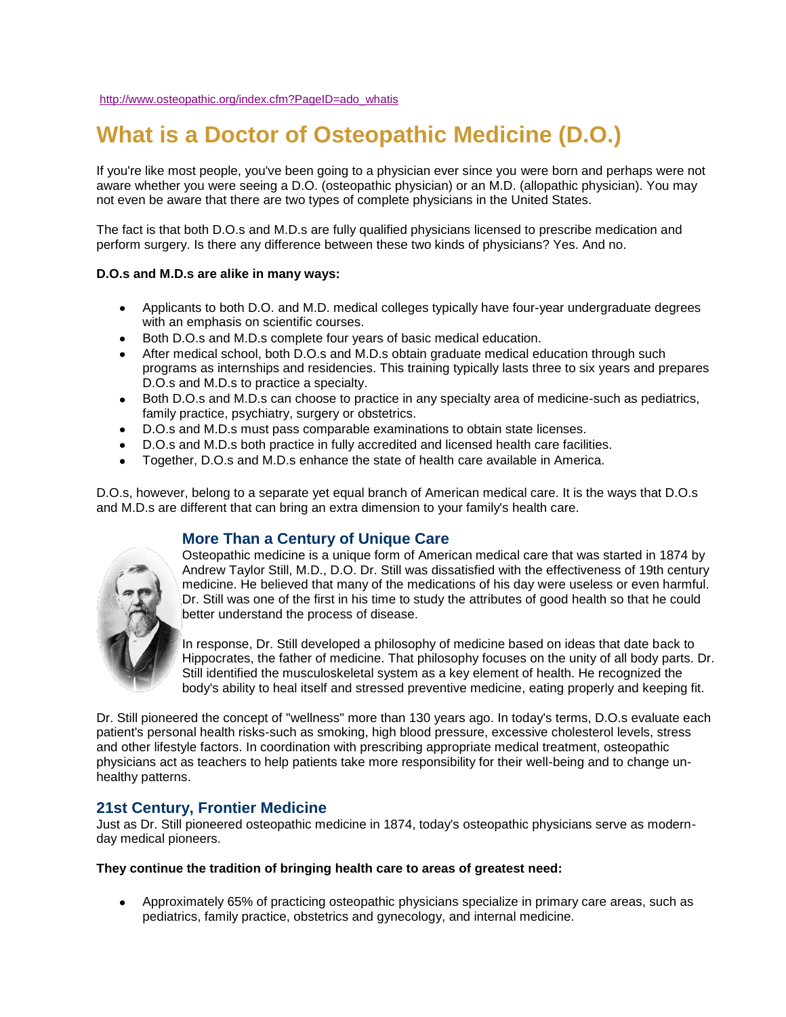# **What is a Doctor of Osteopathic Medicine (D.O.)**

If you're like most people, you've been going to a physician ever since you were born and perhaps were not aware whether you were seeing a D.O. (osteopathic physician) or an M.D. (allopathic physician). You may not even be aware that there are two types of complete physicians in the United States.

The fact is that both D.O.s and M.D.s are fully qualified physicians licensed to prescribe medication and perform surgery. Is there any difference between these two kinds of physicians? Yes. And no.

### **D.O.s and M.D.s are alike in many ways:**

- Applicants to both D.O. and M.D. medical colleges typically have four-year undergraduate degrees  $\bullet$ with an emphasis on scientific courses.
- $\bullet$ Both D.O.s and M.D.s complete four years of basic medical education.
- After medical school, both D.O.s and M.D.s obtain graduate medical education through such programs as internships and residencies. This training typically lasts three to six years and prepares D.O.s and M.D.s to practice a specialty.
- Both D.O.s and M.D.s can choose to practice in any specialty area of medicine-such as pediatrics,  $\bullet$ family practice, psychiatry, surgery or obstetrics.
- D.O.s and M.D.s must pass comparable examinations to obtain state licenses.  $\bullet$
- D.O.s and M.D.s both practice in fully accredited and licensed health care facilities.
- Together, D.O.s and M.D.s enhance the state of health care available in America.  $\bullet$

D.O.s, however, belong to a separate yet equal branch of American medical care. It is the ways that D.O.s and M.D.s are different that can bring an extra dimension to your family's health care.

# **More Than a Century of Unique Care**

Osteopathic medicine is a unique form of American medical care that was started in 1874 by Andrew Taylor Still, M.D., D.O. Dr. Still was dissatisfied with the effectiveness of 19th century medicine. He believed that many of the medications of his day were useless or even harmful. Dr. Still was one of the first in his time to study the attributes of good health so that he could better understand the process of disease.

In response, Dr. Still developed a philosophy of medicine based on ideas that date back to Hippocrates, the father of medicine. That philosophy focuses on the unity of all body parts. Dr. Still identified the musculoskeletal system as a key element of health. He recognized the body's ability to heal itself and stressed preventive medicine, eating properly and keeping fit.

Dr. Still pioneered the concept of "wellness" more than 130 years ago. In today's terms, D.O.s evaluate each patient's personal health risks-such as smoking, high blood pressure, excessive cholesterol levels, stress and other lifestyle factors. In coordination with prescribing appropriate medical treatment, osteopathic physicians act as teachers to help patients take more responsibility for their well-being and to change unhealthy patterns.

# **21st Century, Frontier Medicine**

Just as Dr. Still pioneered osteopathic medicine in 1874, today's osteopathic physicians serve as modernday medical pioneers.

**They continue the tradition of bringing health care to areas of greatest need:**

 $\bullet$ Approximately 65% of practicing osteopathic physicians specialize in primary care areas, such as pediatrics, family practice, obstetrics and gynecology, and internal medicine.